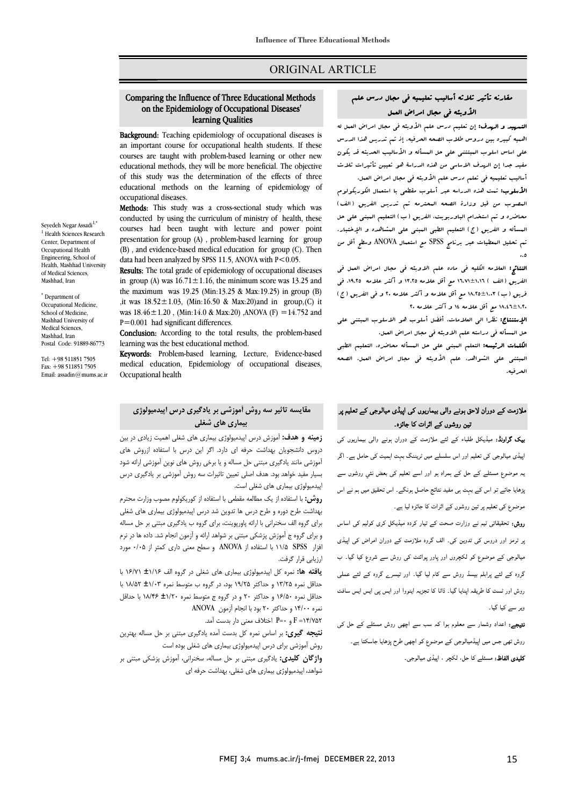# ORIGINAL ARTICLE

#### ีน<br>: on the Epidemiology of Occupational Diseases' Comparing the Influence of Three Educational Methods learning Qualities

Ī 

Background: Teaching epidemiology of occupational diseases is an important course for occupational health students. If these courses are taught with problem-based learning or other new of this study was the determination of the effects of three educational methods on the learning of epidemiology of educational methods, they will be more beneficial. The objective occupational diseases.

occupational diseases.<br>**Methods:** This study was a cross-sectional study which was conducted by using the curriculum of ministry of health, these courses had been taught with lecture and power point presentation for group (A) , problem-based learning for group (b), and evidence based method education for  $\frac{1}{2}$  (b) data had been analyzed by SPSS 11.5, ANOVA with  $P < 0.05$ . (B) , and evidence-based medical education for group (C). Then

Results: The total grade of epidemiology of occupational diseases in group (A) was  $16.71 \pm 1.16$ , the minimum score was 13.25 and  $\mu$ , it was 18.52±1.03, (Min:16.50 & Max:20) and in group,(C) it was  $18.46 \pm 1.20$ , (Min:14.0 & Max:20), ANOVA (F) = 14.752 and the maximum was 19.25 (Min:13.25 & Max:19.25) in group (B)  $P=0.001$  had significant differences.

**Conclusion:** According to the total results, the problem-based<br>learning was the best educational method learning was the best educational method.

Keywords: Problem-based learning, Lecture, Evidence-based medical education, Epidemiology of occupational diseases, Occupational health

# **مقایسه تاثیر سه روش آموزشی بر یادگیري درس اپیدمیولوژي بیماري هاي شغلی**

 **زمینه و هدف:** آموزش درس اپیدمیولوژي بیماري هاي شغلی اهمیت زیادي در بین دروس دانشجویان بهداشت حرفه اي دارد. اگر این درس با استفاده ازروش هاي آموزشی مانند یادگیري مبتنی حل مساله و یا برخی روش هاي نوین آموزشی ارائه شود بسیار مفید خواهد بود. هدف اصلی تعیین تاثیرات سه روش آموزشی بر یادگیري درس اپیدمیولوژي بیماري هاي شغلی است.

پیدیپوتوری بیمتری سی سسی است.<br>**روش:** با استفاده از یک مطالعه مقطعی با استفاده از کوریکولوم مصوب وزارت محترم برد تی .<br>بهداشت طرح دوره و طرح درس ها تدوین شد درس اپیدمیولوژی بیماری های شغلی براي گروه الف سخنرانی با ارائه پاورپوینت، براي گروه ب یادگیري مبتنی بر حل مساله و براي گروه ج آموزش پزشکی مبتنی بر شواهد ارائه و آزمون انجام شد. داده ها در نرم افزار SPSS 11/5 با استفاده از ANOVA و سطح معنی داري کمتر از 0/05 مورد ارزیابی قرار گرفت.

 **یافته ها:** نمره کل اپیدمیولوژي بیماري هاي شغلی در گروه الف ±1/16 16/71 با حداقل نمره ۱۱٬۱۰۵ و حداکثر ۱٬۱۷۱ بود، در کروه با متوسط نمره ±۱٬۱۰۱ سالمان با<br>حداقل نمره ط2/۵۰ و حداکثر ۲۰ و در گروه ج متوسط نمره ±1/2، 1/20 با حداقل ن ۱۰٫۰<br>نمره ۱۴/۰۰ و حداکثر ۲۰ بود با انجام آزمون ANOVA 14/752= F و 0=P اختلاف معنی دار بدست آمد. حداقل نمره 13/25 و حداکثر 19/25 بود، در گروه ب متوسط نمره ±1/03 18/52 با

 **نتیجه گیري:** بر اساس نمره کل بدست آمده یادگیري مبتنی بر حل مساله بهترین روش آموزشی براي درس اپیدمیولوژي بیماري هاي شغلی بوده است **واژگان کلیدي:** یادگیري مبتنی بر حل مساله، سخنرانی، آموزش پزشکی مبتنی بر شواهد، اپیدمیولوژي بیماري هاي شغلی، بهداشت حرفه اي

# مقارنه تأثیر ثلاثه أسالیب تعلیمیه فی مجال درس علم الأوبئه فی مجال امراض العمل

Ī ֦

ا**لتسهید و الهدف:** إن تعلیم درس علم الأوب**نه فی مجال امراض الع**مل له<br>. اهمیه کبیره بین دروس طلاب الصحه الحرفیه. إذ تم تدریس هذا الدرس مفی است اسواب البیستی منی من الیسالی و الاساسیب العقیب مدینون<br>تفید جدا إن الرسف الاساسی من هذه الدراسۀ هو تعیین تأثیرات ثلاث أسالیب تعلیمیه فی تعلم درس علم الأوبئه فی مجال امراض العمل. علی اساس اسلوب المبتتنی علی حل المسأله و الأسالیب الحدیثه قد یکون

 الأسلوب: تمت هذه الدراسه عبر أسلوب مقطعی با استعمال الکوریکولوم المصوب من قبل وزارة الصحه المحترمه تم تدریس الفریق (الف) محاضره و تم استخدام الباوربویت، الفریق (ب) التعلیم المبنی علی حل المسأله و الفریق (ج) التعلیم الطبی المبنی علی المشاهده و الإختبار. تم تحلیل المعطیات عبر برنامج SPSS مع استعمال ANOVA وسطح أقل من 0.5

 النتائج: العلامه الکلیه فی ماده علم الاوبئه فی مجال امراض العمل فی الفریق (الف ) 16.71±1.16 مع أقل علامه 13.25 و أکثر علامه ،19.25 فی فریق (ب) 18.25±1.03 مع أقل علامه و أکثر علامه 20 و فی الفریق (ج) .1.\±1.5 مع أقل علامه ١٤ و أكثر علامه ٢٠<br>...

ا<del>ج المسا</del>ل، صدر الى التار حال، العمل العوالي على الاستوبر<br>هل البسأله ف<sub>ی</sub> دراسته علم الاوبئه فی مجال امراض العمل. الإستنتاج: نظرا الی العلامات، أفضل أسلوب هو الاسلوب المبتنی علی

 الکلمات الرئیسه: التعلم المبنی علی حل المسأله محاضره، التعلیم الطبی المبتنی علی الشواهد، علم الأوبئه فی مجال امراض العمل. الصحه الحرفیه.

# ملازمت کے دوران لاحق ہونے والی بیماریوں کی اپیڈی میالوجی کے تعلیم پر تین روشوں کے اثرات کا جائزہ۔

**یک گراونڈ:** میڈیکل طلباء کے لئے ملازمت کے دوران ہونے والی بیماریوں کی ا<br>پیڈی میالوجی کی تعلیم اور اس سلسلے میں ٹریننگ بہت اہمیت کی حامل ہے۔ اگر بہ موضوع مسئلے کے حل کے ہمراہ ہو اور اسے تعلیم کی بعض نئي روشوں سے<br>۔ <u>﴿</u>هایا جائے تو اس کے بہت ہی مفید نتائج حاصل ہونگے۔ اس تحقیق میں ہم نے اس موضوع کی تعلیم پر تین روشوں کے اثرات کا جائزہ لیا ہے۔

ر**وش:** تحقیقاتی ٹیم نے وزارت صحت کے تیار کردہ میڈیکل کری کولیم کی اساس <sub>ب</sub>ر ٹرمز اور دروس کی تدوین کی۔ الف گروہ ملازمت کے دوران امراض کی اپیڈی<br>۔ میالوجی کے موضوع کو لکچروں اور پاور پوائنٹ کی روش سے شروع کیا گیا۔ ب<br>۔ گروہ کے لئے پرابلم بیسڈ روش سے کام لیا گیا۔ اور تیسرے گروہ کے لئے عملی روش اور ٹسٹ کا طریقہ اپنایا گیا۔ ڈاٹا کا تجزیہ اینووا اور ایس پی ایس ایس سافٹ ویر سے کیا گیا۔

**تیجے:** اعداد وشمار سے معلوم ہوا کہ سب سے اچھی روش مسئلے کے حل کی<br>۔ روش تھی جس میں اپیڈمیالوجی کے موضوع کو اچھی طرح پڑھایا جاسکتا ہے۔<br>۔ **کلیدی الفاظ:** مسئلے کا حل. لکچر ، اپیڈی میالوجی۔

Mashhad University of Postal Code: 91889-86773

Tel: +98 511851 7505  $F_{\text{av}}$ :  $+985118517505$ Email: assadin@mums.ac.ir

Medical Sciences, Mashhad, Iran

Seyedeh Negar Assadi<sup>1,\*</sup> <sup>1</sup> Health Sciences Research Center, Department of Occupational Health Engineering, School of Health, Mashhad University of Medical Sciences, Mashhad, Iran \* Department of Occupational Medicine, School of Medicine,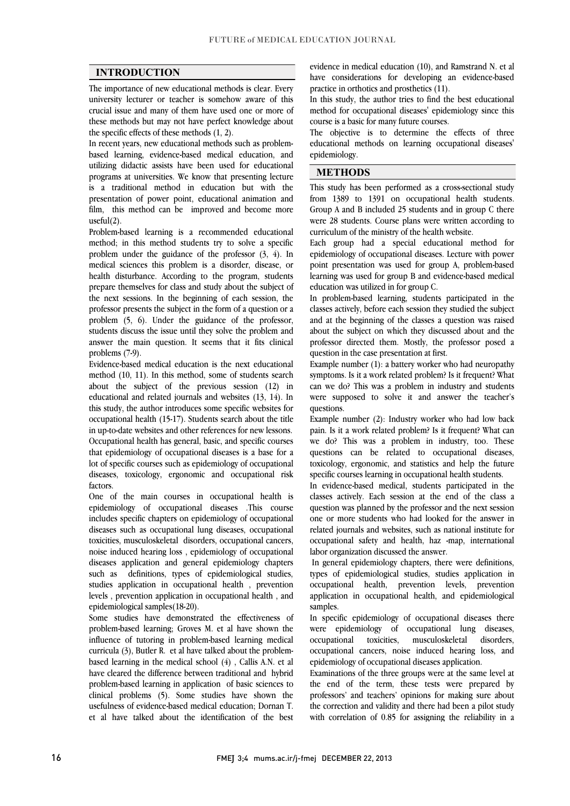$\overline{a}$  $\overline{a}$ 

### **INTRODUCTION**

 The importance of new educational methods is clear. Every university lecturer or teacher is somehow aware of this these methods but may not have perfect knowledge about crucial issue and many of them have used one or more of the specific effects of these methods (1, 2).

 In recent years, new educational methods such as problem- based learning, evidence-based medical education, and programs at universities. We know that presenting lecture is a traditional method in education but with the presentation of power point, educational animation and film, this method can be improved and become more utilizing didactic assists have been used for educational useful(2).

 Problem-based learning is a recommended educational method; in this method students try to solve a specific problem under the guidance of the professor (3, 4). In medical sciences this problem is a disorder, disease, or prepare themselves for class and study about the subject of the next sessions. In the beginning of each session, the professor presents the subject in the form of a question or a students discuss the issue until they solve the problem and answer the main question. It seems that it fits clinical health disturbance. According to the program, students problem (5, 6). Under the guidance of the professor, problems (7-9).

 Evidence-based medical education is the next educational about the subject of the previous session (12) in educational and related journals and websites (13, 14). In this study, the author introduces some specific websites for occupational health (15-17). Students search about the title Occupational health has general, basic, and specific courses that epidemiology of occupational diseases is a base for a lot of specific courses such as epidemiology of occupational diseases, toxicology, ergonomic and occupational risk method (10, 11). In this method, some of students search in up-to-date websites and other references for new lessons. factors.

 One of the main courses in occupational health is epidemiology of occupational diseases .This course includes specific chapters on epidemiology of occupational toxicities, musculoskeletal disorders, occupational cancers, noise induced hearing loss , epidemiology of occupational diseases application and general epidemiology chapters such as definitions, types of epidemiological studies, studies application in occupational fiealth , prevention<br>levels , prevention application in occupational health , and diseases such as occupational lung diseases, occupational studies application in occupational health , prevention epidemiological samples(18-20).

 Some studies have demonstrated the effectiveness of problem-based learning; Groves M. et al have shown the curricula (3), Butler R. et al have talked about the problem- based learning in the medical school (4) , Callis A.N. et al have cleared the difference between traditional and hybrid problem-based learning in application of basic sciences to usefulness of evidence-based medical education; Dornan T. et al have talked about the identification of the best influence of tutoring in problem-based learning medical clinical problems (5). Some studies have shown the

 have considerations for developing an evidence-based evidence in medical education (10), and Ramstrand N. et al practice in orthotics and prosthetics (11).

 In this study, the author tries to find the best educational method for occupational diseases' epidemiology since this course is a basic for many future courses course is a basic for many future courses.

 The objective is to determine the effects of three educational methods on learning occupational diseases' epidemiology.

## **METHODS**

 This study has been performed as a cross-sectional study from 1389 to 1391 on occupational health students. Į were 28 students. Course plans were written according to curriculum of the ministry of the health website. Group A and B included 25 students and in group C there curriculum of the ministry of the health website.

 Each group had a special educational method for epidemiology of occupational diseases. Lecture with power ູ່ point presentation was used for group A, problem-based learning was used for group B and evidence-based medical education was utilized in for group C.

 In problem-based learning, students participated in the classes actively, before each session they studied the subject about the subject on which they discussed about and the professor directed them. Mostly, the professor posed a and at the beginning of the classes a question was raised question in the case presentation at first.

Example number  $(1)$ : a battery worker who had neuropathy can we do? This was a problem in industry and students were supposed to solve it and answer the teacher's symptoms. Is it a work related problem? Is it frequent? What questions.

Example number  $(2)$ : Industry worker who had low back we do? This was a problem in industry, too. These questions can be related to occupational diseases, toxicology, ergonomic, and statistics and help the future pain. Is it a work related problem? Is it frequent? What can specific courses learning in occupational health students.

 In evidence-based medical, students participated in the classes actively. Each session at the end of the class a question was planned by the professor and the next session one or more students who had looked for the answer in occupational safety and health, haz -map, international related journals and websites, such as national institute for labor organization discussed the answer.

 In general epidemiology chapters, there were definitions, types of epidemiological studies, studies application in application in occupational health, and epidemiological occupational health, prevention levels, prevention samples.

 In specific epidemiology of occupational diseases there were epidemiology of occupational lung diseases, occupational cancers, noise induced hearing loss, and occupational toxicities, musculoskeletal disorders, epidemiology of occupational diseases application.

 Examinations of the three groups were at the same level at the end of the term, these tests were prepared by the correction and validity and there had been a pilot study with correlation of 0.85 for assigning the reliability in a professors' and teachers' opinions for making sure about

16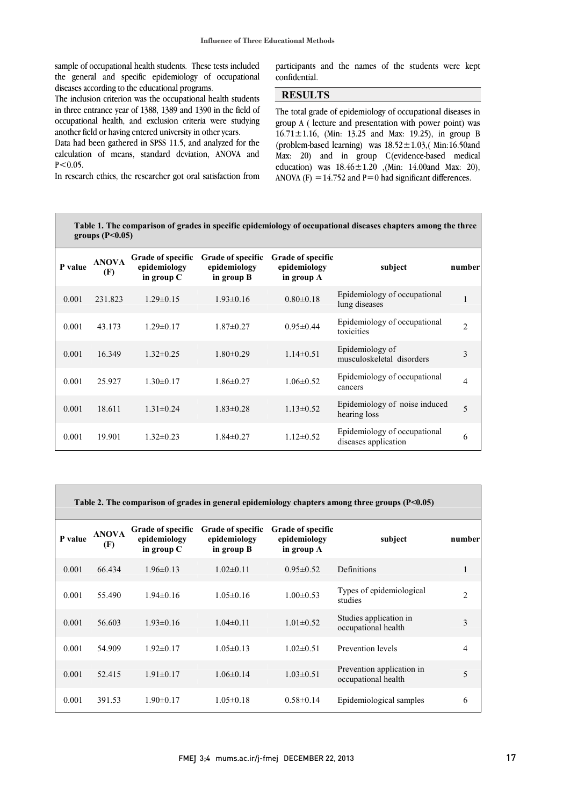sample of occupational health students. These tests included the general and specific epidemiology of occupational diseases according to the educational programs.

The inclusion criterion was the occupational health students occupational health, and exclusion criteria were studying in three entrance year of 1388, 1389 and 1390 in the field of another field or having entered university in other years.

 Data had been gathered in SPSS 11.5, and analyzed for the calculation of means, standard deviation, ANOVA and  $P < 0.05$ .

In research ethics, the researcher got oral satisfaction from

 $\overline{a}$ i, participants and the names of the students were kept confidential.

> Ī j

# **RESULTS**

The total grade of epidemiology of occupational diseases in (problem-based learning) was 18.52±1.03,( Min:16.50and Max: 20) and in group C(evidence-based medical education) was  $18.46 \pm 1.20$  , (Min: 14.00and Max: 20),<br>ANOVA (F) = 14.752 and P=0 had significant differences group A ( lecture and presentation with power point) was  $16.71 \pm 1.16$ , (Min: 13.25 and Max: 19.25), in group B ANOVA (F) =  $14.752$  and P=0 had significant differences.

| Table 1. The comparison of grades in specific epidemiology of occupational diseases chapters among the three |  |
|--------------------------------------------------------------------------------------------------------------|--|
| groups $(P<0.05)$                                                                                            |  |

i<br>I

| P value | <b>ANOVA</b><br>(F) | <b>Grade of specific</b><br>epidemiology<br>in group C | <b>Grade of specific</b><br>epidemiology<br>in group B | <b>Grade of specific</b><br>epidemiology<br>in group A | subject                                              | number         |  |
|---------|---------------------|--------------------------------------------------------|--------------------------------------------------------|--------------------------------------------------------|------------------------------------------------------|----------------|--|
| 0.001   | 231.823             | $1.29 \pm 0.15$                                        | $1.93 \pm 0.16$                                        | $0.80 \pm 0.18$                                        | Epidemiology of occupational<br>lung diseases        | 1              |  |
| 0.001   | 43.173              | $1.29 \pm 0.17$                                        | $1.87 \pm 0.27$                                        | $0.95 \pm 0.44$                                        | Epidemiology of occupational<br>toxicities           | $\overline{2}$ |  |
| 0.001   | 16.349              | $1.32 \pm 0.25$                                        | $1.80 \pm 0.29$                                        | $1.14\pm0.51$                                          | Epidemiology of<br>musculoskeletal disorders         | 3              |  |
| 0.001   | 25.927              | $1.30 \pm 0.17$                                        | $1.86 \pm 0.27$                                        | $1.06 \pm 0.52$                                        | Epidemiology of occupational<br>cancers              | 4              |  |
| 0.001   | 18.611              | $1.31 \pm 0.24$                                        | $1.83 \pm 0.28$                                        | $1.13 \pm 0.52$                                        | Epidemiology of noise induced<br>hearing loss        | 5              |  |
| 0.001   | 19.901              | $1.32 \pm 0.23$                                        | $1.84 \pm 0.27$                                        | $1.12 \pm 0.52$                                        | Epidemiology of occupational<br>diseases application | 6              |  |
|         |                     |                                                        |                                                        |                                                        |                                                      |                |  |

**Table 2. The comparison of grades in general epidemiology chapters among three groups (P<0.05)**

| P value | <b>ANOVA</b><br>(F) | <b>Grade of specific</b><br>epidemiology<br>in group $C$ | <b>Grade of specific</b><br>epidemiology<br>in group B | <b>Grade of specific</b><br>epidemiology<br>in group A | subject                                          | number |
|---------|---------------------|----------------------------------------------------------|--------------------------------------------------------|--------------------------------------------------------|--------------------------------------------------|--------|
| 0.001   | 66.434              | $1.96 \pm 0.13$                                          | $1.02 \pm 0.11$                                        | $0.95 \pm 0.52$                                        | Definitions                                      | 1      |
| 0.001   | 55.490              | $1.94\pm0.16$                                            | $1.05 \pm 0.16$                                        | $1.00 \pm 0.53$                                        | Types of epidemiological<br>studies              | 2      |
| 0.001   | 56.603              | $1.93 \pm 0.16$                                          | $1.04\pm0.11$                                          | $1.01 \pm 0.52$                                        | Studies application in<br>occupational health    | 3      |
| 0.001   | 54.909              | $1.92 \pm 0.17$                                          | $1.05 \pm 0.13$                                        | $1.02 \pm 0.51$                                        | Prevention levels                                | 4      |
| 0.001   | 52.415              | $1.91 \pm 0.17$                                          | $1.06 \pm 0.14$                                        | $1.03 \pm 0.51$                                        | Prevention application in<br>occupational health | 5      |
| 0.001   | 391.53              | $1.90 \pm 0.17$                                          | $1.05 \pm 0.18$                                        | $0.58 \pm 0.14$                                        | Epidemiological samples                          | 6      |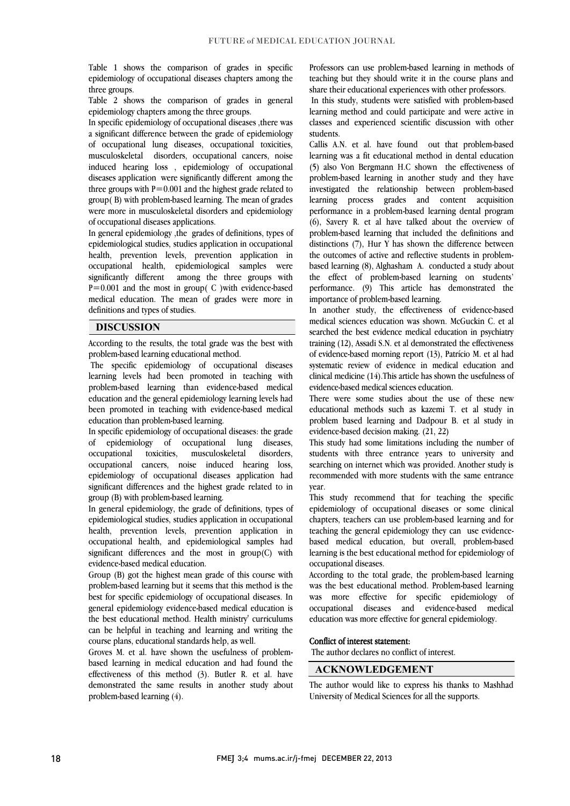Table 1 shows the comparison of grades in specific epidemiology of occupational diseases chapters among the three groups.

 Table 2 shows the comparison of grades in general epidemiology chapters among the three groups.

epidemiology chapters among the tillee groups.<br>In specific epidemiology of occupational diseases ,there was a significant difference between the grade of epidemiology of occupational lung diseases, occupational toxicities, musculoskeletal disorders, occupational cancers, noise induced hearing loss , epidemiology of occupational three groups with  $P = 0.001$  and the highest grade related to group( B) with problem-based learning. The mean of grades were more in musculoskeletal disorders and epidemiology diseases application were significantly different among the of occupational diseases applications.

 In general epidemiology ,the grades of definitions, types of epidemiological studies, studies application in occupational health, prevention levels, prevention application in occupational health, epidemiological samples were  $P=0.001$  and the most in group( C )with evidence-based medical education. The mean of grades were more in significantly different among the three groups with definitions and types of studies.

#### **DISCUSSION**

According to the results, the total grade was the best with problem-based learning educational method.

 The specific epidemiology of occupational diseases learning levels had been promoted in teaching with education and the general epidemiology learning levels had been promoted in teaching with evidence-based medical problem-based learning than evidence-based medical education than problem-based learning.

diseases, disorders. occupational cancers, noise induced hearing loss, epidemiology of occupational diseases application had significant differences and the highest grade related to in In specific epidemiology of occupational diseases: the grade of epidemiology of occupational lung occupational toxicities, musculoskeletal group (B) with problem-based learning.

In general epidemiology, the grade of definitions, types of epidemiological studies, studies application in occupational health, prevention levels, prevention application in significant differences and the most in group(C) with occupational health, and epidemiological samples had evidence-based medical education.

 Group (B) got the highest mean grade of this course with problem-based learning but it seems that this method is the general epidemiology evidence-based medical education is the best educational method. Health ministry' curriculums can be helpful in teaching and learning and writing the best for specific epidemiology of occupational diseases. In course plans, educational standards help, as well.

course pians, equeational standards neip, as well.<br>Groves M. et al. have shown the usefulness of problem- based learning in medical education and had found the effectiveness of this method (3). Butler R. et al. have demonstrated the same results in another study about problem-based learning (4).

 Professors can use problem-based learning in methods of teaching but they should write it in the course plans and share their educational experiences with other professors.

 In this study, students were satisfied with problem-based rearning include and could participate and were active in<br>classes and experienced scientific discussion with other learning method and could participate and were active in students.

 Callis A.N. et al. have found out that problem-based learning was a fit educational method in dental education problem-based learning in another study and they have investigated the relationship between problem-based learning process grades and content acquisition performance in a problem-based learning dental program problem-based learning that included the definitions and distinctions  $(7)$ , Hur Y has shown the difference between the outcomes of active and reflective students in problem- based learning (8), Alghasham A. conducted a study about performance. (9) This article has demonstrated the (5) also Von Bergmann H.C shown the effectiveness of (6), Savery R. et al have talked about the overview of the effect of problem-based learning on students' importance of problem-based learning.

 In another study, the effectiveness of evidence-based medical sciences education was shown. McGuckin C. et al training (12), Assadi S.N. et al demonstrated the effectiveness of evidence-based morning report (13), Patrício M. et al had systematic review of evidence in medical education and clinical medicine (14).This article has shown the usefulness of searched the best evidence medical education in psychiatry evidence-based medical sciences education.

 There were some studies about the use of these new educational methods such as kazemi T. et al study in problem based learning and Dadpour B. et al study in evidence-based decision making. (21, 22)

 This study had some limitations including the number of students with three entrance years to university and searching on internet which was provided. Another study is recommended with more students with the same entrance year.

 This study recommend that for teaching the specific epidemiology of occupational diseases or some clinical chapters, teachers can use problem-based learning and for teaching the general epidemiology they can use evidence- learning is the best educational method for epidemiology of based medical education, but overall, problem-based occupational diseases.

 According to the total grade, the problem-based learning was the best educational method. Problem-based learning occupational diseases and evidence-based medical was more effective for specific epidemiology of education was more effective for general epidemiology.

#### Conflict of interest statement:

The author declares no conflict of interest.

#### **ACKNOWLEDGEMENT**

 The author would like to express his thanks to Mashhad University of Medical Sciences for all the supports.

l  $\overline{a}$